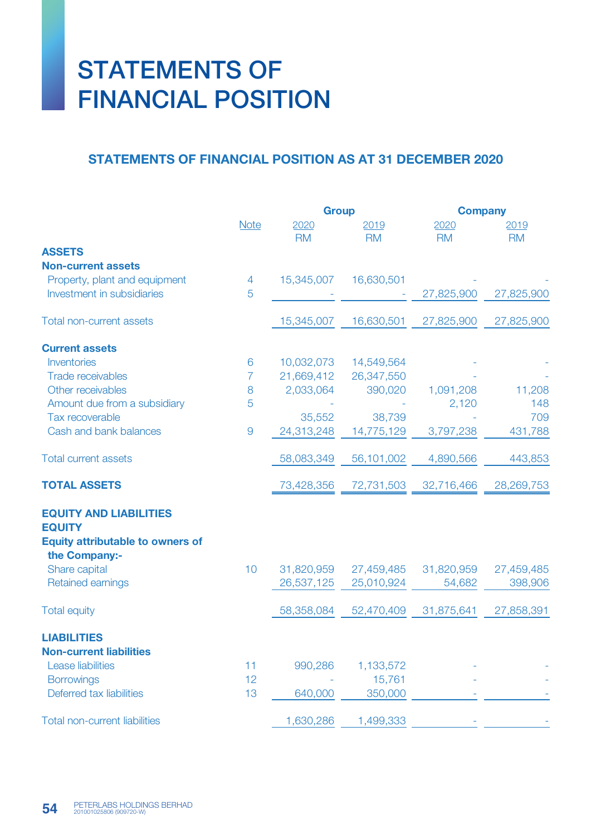## STATEMENTS OF FINANCIAL POSITION

## STATEMENTS OF FINANCIAL POSITION AS AT 31 DECEMBER 2020

|                                                          |                | <b>Group</b> |            | <b>Company</b> |            |
|----------------------------------------------------------|----------------|--------------|------------|----------------|------------|
|                                                          | <b>Note</b>    | 2020         | 2019       | 2020           | 2019       |
|                                                          |                | <b>RM</b>    | <b>RM</b>  | <b>RM</b>      | <b>RM</b>  |
| <b>ASSETS</b>                                            |                |              |            |                |            |
| <b>Non-current assets</b>                                |                |              |            |                |            |
| Property, plant and equipment                            | 4              | 15,345,007   | 16,630,501 |                |            |
| Investment in subsidiaries                               | 5              |              |            | 27,825,900     | 27,825,900 |
| <b>Total non-current assets</b>                          |                | 15,345,007   | 16,630,501 | 27,825,900     | 27,825,900 |
| <b>Current assets</b>                                    |                |              |            |                |            |
| Inventories                                              | 6              | 10,032,073   | 14,549,564 |                |            |
| <b>Trade receivables</b>                                 | 7              | 21,669,412   | 26,347,550 |                |            |
| Other receivables                                        | 8              | 2,033,064    | 390,020    | 1,091,208      | 11,208     |
| Amount due from a subsidiary                             | 5              |              |            | 2,120          | 148        |
| Tax recoverable                                          |                | 35,552       | 38,739     |                | 709        |
| Cash and bank balances                                   | $\overline{9}$ | 24,313,248   | 14,775,129 | 3,797,238      | 431,788    |
| <b>Total current assets</b>                              |                | 58,083,349   | 56,101,002 | 4,890,566      | 443,853    |
| <b>TOTAL ASSETS</b>                                      |                | 73,428,356   | 72,731,503 | 32,716,466     | 28,269,753 |
| <b>EQUITY AND LIABILITIES</b>                            |                |              |            |                |            |
| <b>EQUITY</b>                                            |                |              |            |                |            |
| <b>Equity attributable to owners of</b><br>the Company:- |                |              |            |                |            |
| Share capital                                            | 10             | 31,820,959   | 27,459,485 | 31,820,959     | 27,459,485 |
| <b>Retained earnings</b>                                 |                | 26,537,125   | 25,010,924 | 54,682         | 398,906    |
| <b>Total equity</b>                                      |                | 58,358,084   | 52,470,409 | 31,875,641     | 27,858,391 |
| <b>LIABILITIES</b>                                       |                |              |            |                |            |
| <b>Non-current liabilities</b>                           |                |              |            |                |            |
| <b>Lease liabilities</b>                                 | 11             | 990,286      | 1,133,572  |                |            |
| <b>Borrowings</b>                                        | 12             |              | 15,761     |                |            |
| Deferred tax liabilities                                 | 13             | 640,000      | 350,000    |                |            |
| <b>Total non-current liabilities</b>                     |                | 1,630,286    | 1,499,333  |                |            |